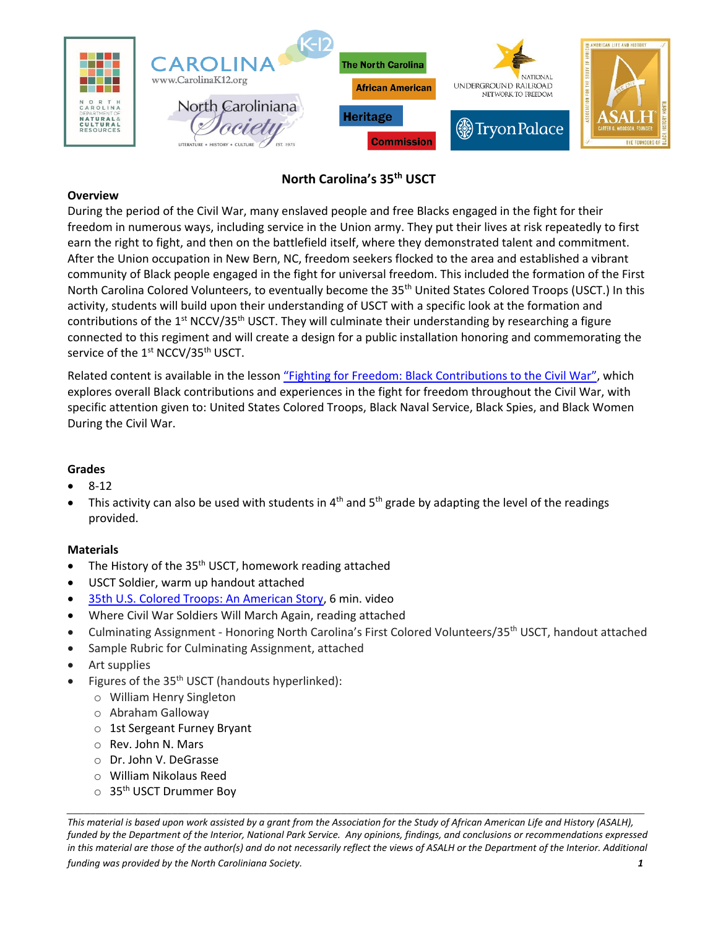

# **North Carolina's 35th USCT**

## **Overview**

During the period of the Civil War, many enslaved people and free Blacks engaged in the fight for their freedom in numerous ways, including service in the Union army. They put their lives at risk repeatedly to first earn the right to fight, and then on the battlefield itself, where they demonstrated talent and commitment. After the Union occupation in New Bern, NC, freedom seekers flocked to the area and established a vibrant community of Black people engaged in the fight for universal freedom. This included the formation of the First North Carolina Colored Volunteers, to eventually become the 35<sup>th</sup> United States Colored Troops (USCT.) In this activity, students will build upon their understanding of USCT with a specific look at the formation and contributions of the  $1<sup>st</sup> NCCV/35<sup>th</sup> USCT$ . They will culminate their understanding by researching a figure connected to this regiment and will create a design for a public installation honoring and commemorating the service of the 1<sup>st</sup> NCCV/35<sup>th</sup> USCT.

Related content is available in the lesson "[Fighting for Freedom: Black Contributions to the Civil War](https://k12database.unc.edu/wp-content/uploads/sites/31/2022/03/OVERVIEW_LESSON_FightingforFreedom28.pdf)", which explores overall Black contributions and experiences in the fight for freedom throughout the Civil War, with specific attention given to: United States Colored Troops, Black Naval Service, Black Spies, and Black Women During the Civil War.

# **Grades**

- 8-12
- This activity can also be used with students in  $4<sup>th</sup>$  and  $5<sup>th</sup>$  grade by adapting the level of the readings provided.

#### **Materials**

- The History of the  $35<sup>th</sup>$  USCT, homework reading attached
- USCT Soldier, warm up handout attached
- [35th U.S. Colored Troops: An American Story,](https://www.youtube.com/watch?v=oDOigKat3VA&t=118s) 6 min. video
- Where Civil War Soldiers Will March Again, reading attached
- Culminating Assignment Honoring North Carolina's First Colored Volunteers/35<sup>th</sup> USCT, handout attached
- Sample Rubric for Culminating Assignment, attached
- Art supplies
- Figures of the 35<sup>th</sup> USCT (handouts hyperlinked):
	- o William Henry Singleton
	- o Abraham Galloway
	- o 1st Sergeant Furney Bryant
	- o Rev. John N. Mars
	- o Dr. John V. DeGrasse
	- o William Nikolaus Reed
	- $\circ$  35<sup>th</sup> USCT Drummer Boy

*This material is based upon work assisted by a grant from the Association for the Study of African American Life and History (ASALH), funded by the Department of the Interior, National Park Service. Any opinions, findings, and conclusions or recommendations expressed in this material are those of the author(s) and do not necessarily reflect the views of ASALH or the Department of the Interior. Additional funding was provided by the North Caroliniana Society. 1*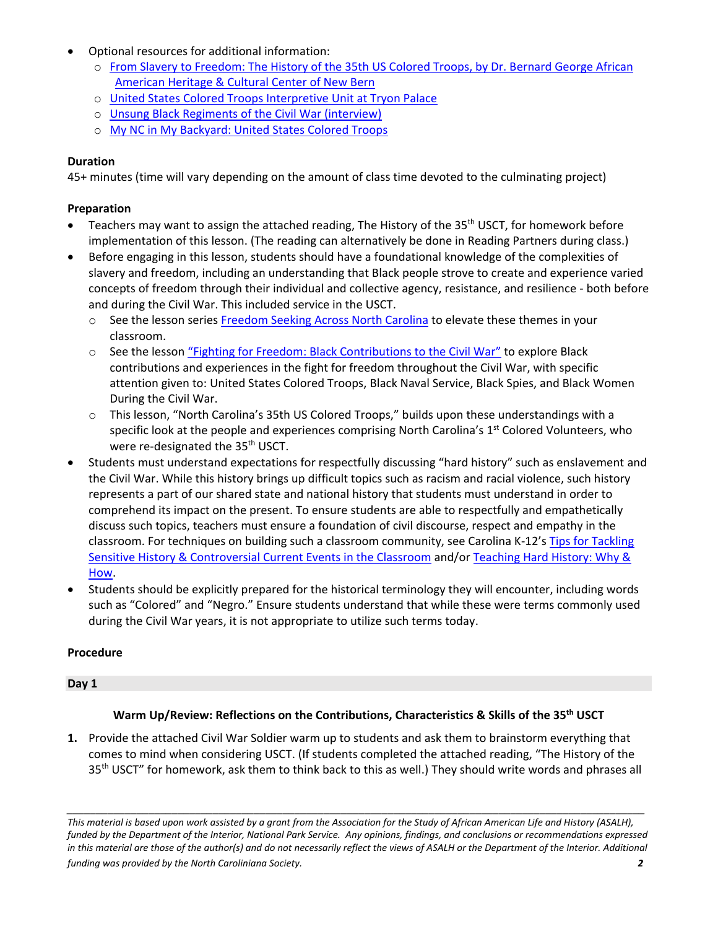- Optional resources for additional information:
	- o [From Slavery to Freedom: The History of the 35th US Colored Troops, by Dr. Bernard George African](https://www.newbernsj.com/story/special/2020/02/14/from-slavery-to-freedom-history-of-35th-us-colored-troops/1711564007/)  [American Heritage & Cultural Center of New Bern](https://www.newbernsj.com/story/special/2020/02/14/from-slavery-to-freedom-history-of-35th-us-colored-troops/1711564007/)
	- o [United States Colored Troops Interpretive Unit at Tryon Palace](https://www.tryonpalace.org/education/civil-war/35th-regiment-of-the-united-states-colored-troops-usct-interpretive-unit)
	- o [Unsung Black Regiments of the Civil War \(interview\)](https://www.tryonpalace.org/news/an-enlightening-interview-about-one-of-the-unsung-black-regiments-of-the-civil-war)
	- o [My NC in My Backyard: United States Colored Troops](https://www.youtube.com/watch?v=UzlrcpLACO0)

# **Duration**

45+ minutes (time will vary depending on the amount of class time devoted to the culminating project)

## **Preparation**

- Teachers may want to assign the attached reading, The History of the 35<sup>th</sup> USCT, for homework before implementation of this lesson. (The reading can alternatively be done in Reading Partners during class.)
- Before engaging in this lesson, students should have a foundational knowledge of the complexities of slavery and freedom, including an understanding that Black people strove to create and experience varied concepts of freedom through their individual and collective agency, resistance, and resilience - both before and during the Civil War. This included service in the USCT.
	- o See the lesson serie[s Freedom Seeking Across North Carolina](https://k12database.unc.edu/wp-content/uploads/sites/31/2021/04/FreedomSeekingAcrossNorthCarolina.pdf) to elevate these themes in your classroom.
	- $\circ$  See the lesson "[Fighting for Freedom: Black Contributions to the Civil War](https://k12database.unc.edu/wp-content/uploads/sites/31/2022/03/OVERVIEW_LESSON_FightingforFreedom28.pdf)" to explore Black contributions and experiences in the fight for freedom throughout the Civil War, with specific attention given to: United States Colored Troops, Black Naval Service, Black Spies, and Black Women During the Civil War.
	- o This lesson, "North Carolina's 35th US Colored Troops," builds upon these understandings with a specific look at the people and experiences comprising North Carolina's  $1<sup>st</sup>$  Colored Volunteers, who were re-designated the 35<sup>th</sup> USCT.
- Students must understand expectations for respectfully discussing "hard history" such as enslavement and the Civil War. While this history brings up difficult topics such as racism and racial violence, such history represents a part of our shared state and national history that students must understand in order to comprehend its impact on the present. To ensure students are able to respectfully and empathetically discuss such topics, teachers must ensure a foundation of civil discourse, respect and empathy in the classroom. For techniques on building such a classroom community, see Carolina K-12's [Tips for Tackling](https://k12database.unc.edu/wp-content/uploads/sites/31/2019/06/TipsControversialIssues.pdf)  [Sensitive History & Controversial Current Events in the Classroom](https://k12database.unc.edu/wp-content/uploads/sites/31/2019/06/TipsControversialIssues.pdf) and/o[r Teaching Hard History: Why &](https://www.youtube.com/watch?v=kNgDv8fH5sw&list=PLYiQiAK1VOCzg8WKmzZM8R2cabyRmC6PB&index=1)  [How.](https://www.youtube.com/watch?v=kNgDv8fH5sw&list=PLYiQiAK1VOCzg8WKmzZM8R2cabyRmC6PB&index=1)
- Students should be explicitly prepared for the historical terminology they will encounter, including words such as "Colored" and "Negro." Ensure students understand that while these were terms commonly used during the Civil War years, it is not appropriate to utilize such terms today.

# **Procedure**

#### **Day 1**

# **Warm Up/Review: Reflections on the Contributions, Characteristics & Skills of the 35th USCT**

**1.** Provide the attached Civil War Soldier warm up to students and ask them to brainstorm everything that comes to mind when considering USCT. (If students completed the attached reading, "The History of the 35<sup>th</sup> USCT" for homework, ask them to think back to this as well.) They should write words and phrases all

*This material is based upon work assisted by a grant from the Association for the Study of African American Life and History (ASALH), funded by the Department of the Interior, National Park Service. Any opinions, findings, and conclusions or recommendations expressed in this material are those of the author(s) and do not necessarily reflect the views of ASALH or the Department of the Interior. Additional funding was provided by the North Caroliniana Society. 2*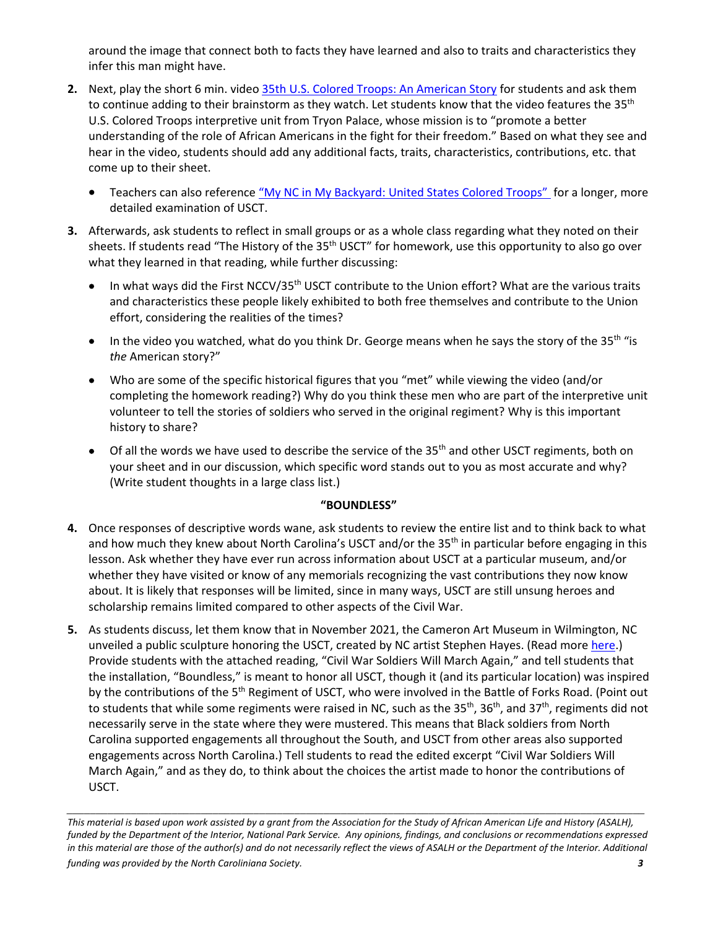around the image that connect both to facts they have learned and also to traits and characteristics they infer this man might have.

- **2.** Next, play the short 6 min. video [35th U.S. Colored Troops: An American Story](https://www.youtube.com/watch?v=oDOigKat3VA&t=118s) for students and ask them to continue adding to their brainstorm as they watch. Let students know that the video features the 35<sup>th</sup> U.S. Colored Troops interpretive unit from Tryon Palace, whose mission is to "promote a better understanding of the role of African Americans in the fight for their freedom." Based on what they see and hear in the video, students should add any additional facts, traits, characteristics, contributions, etc. that come up to their sheet.
	- Teachers can also reference ["My NC in My Backyard: United States Colored Troops"](https://www.youtube.com/watch?v=UzlrcpLACO0&t=5s) for a longer, more detailed examination of USCT.
- **3.** Afterwards, ask students to reflect in small groups or as a whole class regarding what they noted on their sheets. If students read "The History of the 35<sup>th</sup> USCT" for homework, use this opportunity to also go over what they learned in that reading, while further discussing:
	- In what ways did the First NCCV/35<sup>th</sup> USCT contribute to the Union effort? What are the various traits and characteristics these people likely exhibited to both free themselves and contribute to the Union effort, considering the realities of the times?
	- In the video you watched, what do you think Dr. George means when he says the story of the 35<sup>th "is</sup> *the* American story?"
	- Who are some of the specific historical figures that you "met" while viewing the video (and/or completing the homework reading?) Why do you think these men who are part of the interpretive unit volunteer to tell the stories of soldiers who served in the original regiment? Why is this important history to share?
	- Of all the words we have used to describe the service of the 35<sup>th</sup> and other USCT regiments, both on your sheet and in our discussion, which specific word stands out to you as most accurate and why? (Write student thoughts in a large class list.)

# **"BOUNDLESS"**

- **4.** Once responses of descriptive words wane, ask students to review the entire list and to think back to what and how much they knew about North Carolina's USCT and/or the 35<sup>th</sup> in particular before engaging in this lesson. Ask whether they have ever run across information about USCT at a particular museum, and/or whether they have visited or know of any memorials recognizing the vast contributions they now know about. It is likely that responses will be limited, since in many ways, USCT are still unsung heroes and scholarship remains limited compared to other aspects of the Civil War.
- **5.** As students discuss, let them know that in November 2021, the Cameron Art Museum in Wilmington, NC unveiled a public sculpture honoring the USCT, created by NC artist Stephen Hayes. (Read more [here.](https://cameronartmuseum.org/index.php?c=usctpublicsculpture)) Provide students with the attached reading, "Civil War Soldiers Will March Again," and tell students that the installation, "Boundless," is meant to honor all USCT, though it (and its particular location) was inspired by the contributions of the 5<sup>th</sup> Regiment of USCT, who were involved in the Battle of Forks Road. (Point out to students that while some regiments were raised in NC, such as the 35<sup>th</sup>, 36<sup>th</sup>, and 37<sup>th</sup>, regiments did not necessarily serve in the state where they were mustered. This means that Black soldiers from North Carolina supported engagements all throughout the South, and USCT from other areas also supported engagements across North Carolina.) Tell students to read the edited excerpt "Civil War Soldiers Will March Again," and as they do, to think about the choices the artist made to honor the contributions of USCT.

*This material is based upon work assisted by a grant from the Association for the Study of African American Life and History (ASALH), funded by the Department of the Interior, National Park Service. Any opinions, findings, and conclusions or recommendations expressed in this material are those of the author(s) and do not necessarily reflect the views of ASALH or the Department of the Interior. Additional funding was provided by the North Caroliniana Society. 3*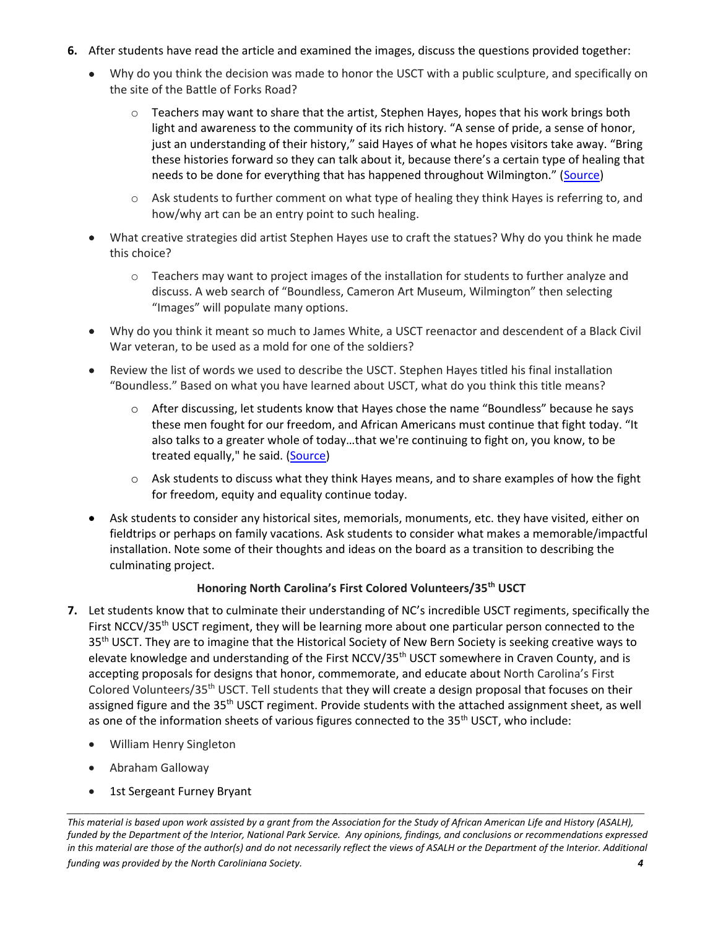- **6.** After students have read the article and examined the images, discuss the questions provided together:
	- Why do you think the decision was made to honor the USCT with a public sculpture, and specifically on the site of the Battle of Forks Road?
		- $\circ$  Teachers may want to share that the artist, Stephen Hayes, hopes that his work brings both light and awareness to the community of its rich history. "A sense of pride, a sense of honor, just an understanding of their history," said Hayes of what he hopes visitors take away. "Bring these histories forward so they can talk about it, because there's a certain type of healing that needs to be done for everything that has happened throughout Wilmington." ([Source\)](https://www.wect.com/2021/11/13/cameron-art-museum-unveils-new-boundless-sculpture/)
		- $\circ$  Ask students to further comment on what type of healing they think Hayes is referring to, and how/why art can be an entry point to such healing.
	- What creative strategies did artist Stephen Hayes use to craft the statues? Why do you think he made this choice?
		- $\circ$  Teachers may want to project images of the installation for students to further analyze and discuss. A web search of "Boundless, Cameron Art Museum, Wilmington" then selecting "Images" will populate many options.
	- Why do you think it meant so much to James White, a USCT reenactor and descendent of a Black Civil War veteran, to be used as a mold for one of the soldiers?
	- Review the list of words we used to describe the USCT. Stephen Hayes titled his final installation "Boundless." Based on what you have learned about USCT, what do you think this title means?
		- $\circ$  After discussing, let students know that Hayes chose the name "Boundless" because he says these men fought for our freedom, and African Americans must continue that fight today. "It also talks to a greater whole of today…that we're continuing to fight on, you know, to be treated equally," he said. [\(Source\)](file:///C:/Users/crhinson/Desktop/USCT/35th/•%09https:/www.whqr.org/local/2021-11-17/a-new-sculpture-boundless-unveiled-at-the-cameron-art-museum-to-honor-the-united-states-colored-troops)
		- $\circ$  Ask students to discuss what they think Hayes means, and to share examples of how the fight for freedom, equity and equality continue today.
	- Ask students to consider any historical sites, memorials, monuments, etc. they have visited, either on fieldtrips or perhaps on family vacations. Ask students to consider what makes a memorable/impactful installation. Note some of their thoughts and ideas on the board as a transition to describing the culminating project.

# **Honoring North Carolina's First Colored Volunteers/35th USCT**

- **7.** Let students know that to culminate their understanding of NC's incredible USCT regiments, specifically the First NCCV/35<sup>th</sup> USCT regiment, they will be learning more about one particular person connected to the 35<sup>th</sup> USCT. They are to imagine that the Historical Society of New Bern Society is seeking creative ways to elevate knowledge and understanding of the First NCCV/35<sup>th</sup> USCT somewhere in Craven County, and is accepting proposals for designs that honor, commemorate, and educate about North Carolina's First Colored Volunteers/35<sup>th</sup> USCT. Tell students that they will create a design proposal that focuses on their assigned figure and the 35<sup>th</sup> USCT regiment. Provide students with the attached assignment sheet, as well as one of the information sheets of various figures connected to the  $35<sup>th</sup>$  USCT, who include:
	- William Henry Singleton
	- Abraham Galloway
	- 1st Sergeant Furney Bryant

*\_\_\_\_\_\_\_\_\_\_\_\_\_\_\_\_\_\_\_\_\_\_\_\_\_\_\_\_\_\_\_\_\_\_\_\_\_\_\_\_\_\_\_\_\_\_\_\_\_\_\_\_\_\_\_\_\_\_\_\_\_\_\_\_\_\_\_\_\_\_\_\_\_\_\_\_\_\_\_\_\_\_\_\_\_\_\_\_\_\_\_\_\_\_\_\_\_\_\_ This material is based upon work assisted by a grant from the Association for the Study of African American Life and History (ASALH), funded by the Department of the Interior, National Park Service. Any opinions, findings, and conclusions or recommendations expressed in this material are those of the author(s) and do not necessarily reflect the views of ASALH or the Department of the Interior. Additional funding was provided by the North Caroliniana Society. 4*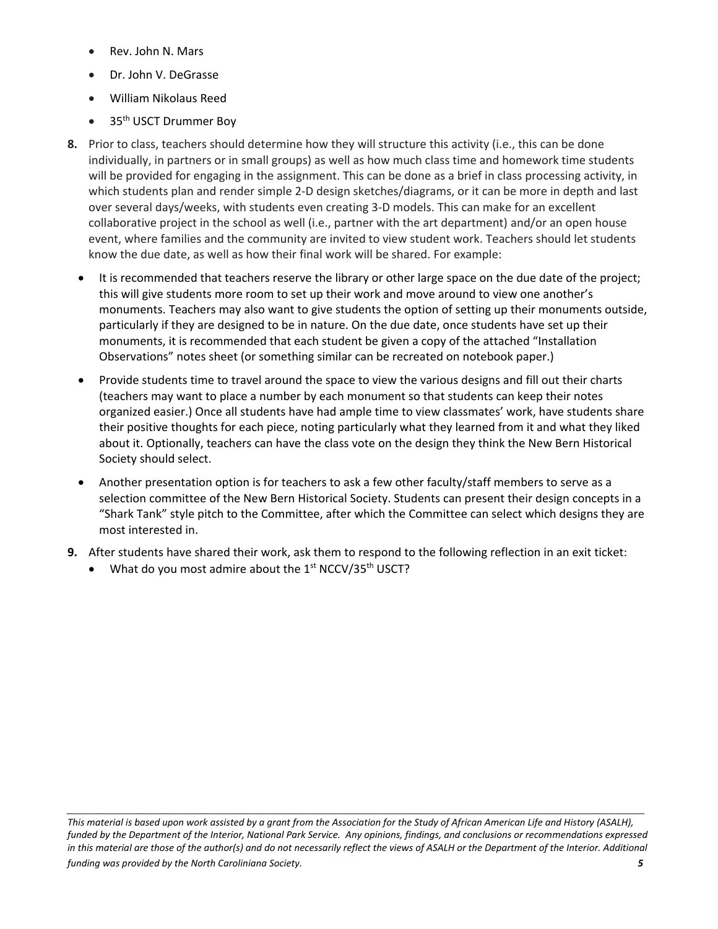- Rev. John N. Mars
- Dr. John V. DeGrasse
- William Nikolaus Reed
- $\bullet$  35<sup>th</sup> USCT Drummer Boy
- **8.** Prior to class, teachers should determine how they will structure this activity (i.e., this can be done individually, in partners or in small groups) as well as how much class time and homework time students will be provided for engaging in the assignment. This can be done as a brief in class processing activity, in which students plan and render simple 2-D design sketches/diagrams, or it can be more in depth and last over several days/weeks, with students even creating 3-D models. This can make for an excellent collaborative project in the school as well (i.e., partner with the art department) and/or an open house event, where families and the community are invited to view student work. Teachers should let students know the due date, as well as how their final work will be shared. For example:
	- It is recommended that teachers reserve the library or other large space on the due date of the project; this will give students more room to set up their work and move around to view one another's monuments. Teachers may also want to give students the option of setting up their monuments outside, particularly if they are designed to be in nature. On the due date, once students have set up their monuments, it is recommended that each student be given a copy of the attached "Installation Observations" notes sheet (or something similar can be recreated on notebook paper.)
	- Provide students time to travel around the space to view the various designs and fill out their charts (teachers may want to place a number by each monument so that students can keep their notes organized easier.) Once all students have had ample time to view classmates' work, have students share their positive thoughts for each piece, noting particularly what they learned from it and what they liked about it. Optionally, teachers can have the class vote on the design they think the New Bern Historical Society should select.
	- Another presentation option is for teachers to ask a few other faculty/staff members to serve as a selection committee of the New Bern Historical Society. Students can present their design concepts in a "Shark Tank" style pitch to the Committee, after which the Committee can select which designs they are most interested in.
- **9.** After students have shared their work, ask them to respond to the following reflection in an exit ticket:
	- What do you most admire about the  $1<sup>st</sup>$  NCCV/35<sup>th</sup> USCT?

*\_\_\_\_\_\_\_\_\_\_\_\_\_\_\_\_\_\_\_\_\_\_\_\_\_\_\_\_\_\_\_\_\_\_\_\_\_\_\_\_\_\_\_\_\_\_\_\_\_\_\_\_\_\_\_\_\_\_\_\_\_\_\_\_\_\_\_\_\_\_\_\_\_\_\_\_\_\_\_\_\_\_\_\_\_\_\_\_\_\_\_\_\_\_\_\_\_\_\_ This material is based upon work assisted by a grant from the Association for the Study of African American Life and History (ASALH), funded by the Department of the Interior, National Park Service. Any opinions, findings, and conclusions or recommendations expressed in this material are those of the author(s) and do not necessarily reflect the views of ASALH or the Department of the Interior. Additional funding was provided by the North Caroliniana Society. 5*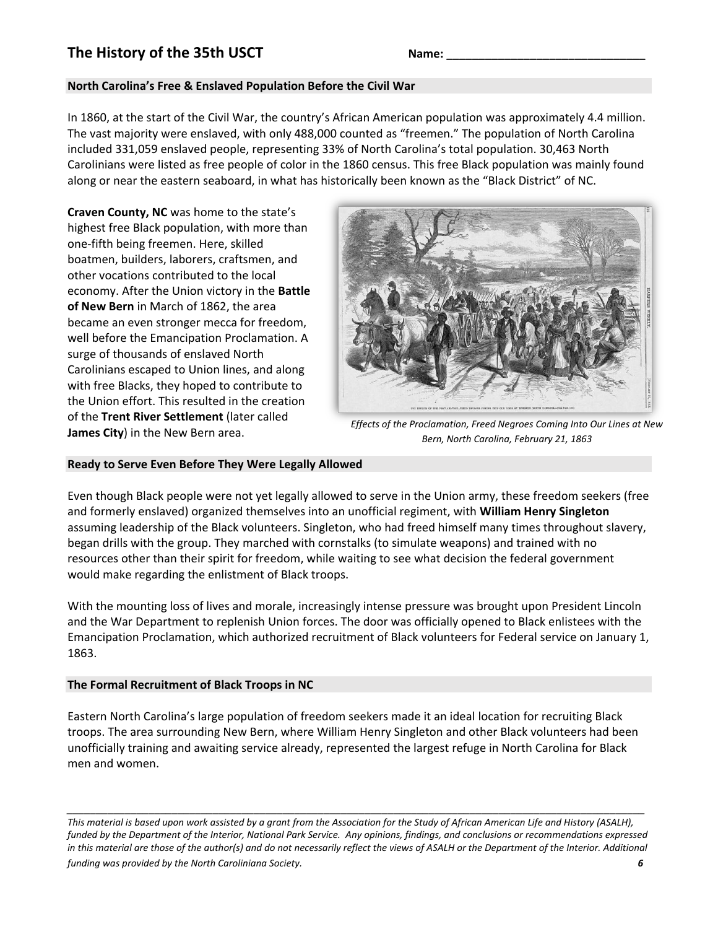# **The History of the 35th USCT** Name:

## **North Carolina's Free & Enslaved Population Before the Civil War**

In 1860, at the start of the Civil War, the country's African American population was approximately 4.4 million. The vast majority were enslaved, with only 488,000 counted as "freemen." The population of North Carolina included 331,059 enslaved people, representing 33% of North Carolina's total population. 30,463 North Carolinians were listed as free people of color in the 1860 census. This free Black population was mainly found along or near the eastern seaboard, in what has historically been known as the "Black District" of NC.

**Craven County, NC** was home to the state's highest free Black population, with more than one-fifth being freemen. Here, skilled boatmen, builders, laborers, craftsmen, and other vocations contributed to the local economy. After the Union victory in the **Battle of New Bern** in March of 1862, the area became an even stronger mecca for freedom, well before the Emancipation Proclamation. A surge of thousands of enslaved North Carolinians escaped to Union lines, and along with free Blacks, they hoped to contribute to the Union effort. This resulted in the creation of the **Trent River Settlement** (later called **James City**) in the New Bern area.



*Effects of the Proclamation, Freed Negroes Coming Into Our Lines at New Bern, North Carolina, February 21, 1863*

#### **Ready to Serve Even Before They Were Legally Allowed**

Even though Black people were not yet legally allowed to serve in the Union army, these freedom seekers (free and formerly enslaved) organized themselves into an unofficial regiment, with **William Henry Singleton** assuming leadership of the Black volunteers. Singleton, who had freed himself many times throughout slavery, began drills with the group. They marched with cornstalks (to simulate weapons) and trained with no resources other than their spirit for freedom, while waiting to see what decision the federal government would make regarding the enlistment of Black troops.

With the mounting loss of lives and morale, increasingly intense pressure was brought upon President Lincoln and the War Department to replenish Union forces. The door was officially opened to Black enlistees with the Emancipation Proclamation, which authorized recruitment of Black volunteers for Federal service on January 1, 1863.

#### **The Formal Recruitment of Black Troops in NC**

Eastern North Carolina's large population of freedom seekers made it an ideal location for recruiting Black troops. The area surrounding New Bern, where William Henry Singleton and other Black volunteers had been unofficially training and awaiting service already, represented the largest refuge in North Carolina for Black men and women.

*This material is based upon work assisted by a grant from the Association for the Study of African American Life and History (ASALH), funded by the Department of the Interior, National Park Service. Any opinions, findings, and conclusions or recommendations expressed in this material are those of the author(s) and do not necessarily reflect the views of ASALH or the Department of the Interior. Additional funding was provided by the North Caroliniana Society. 6*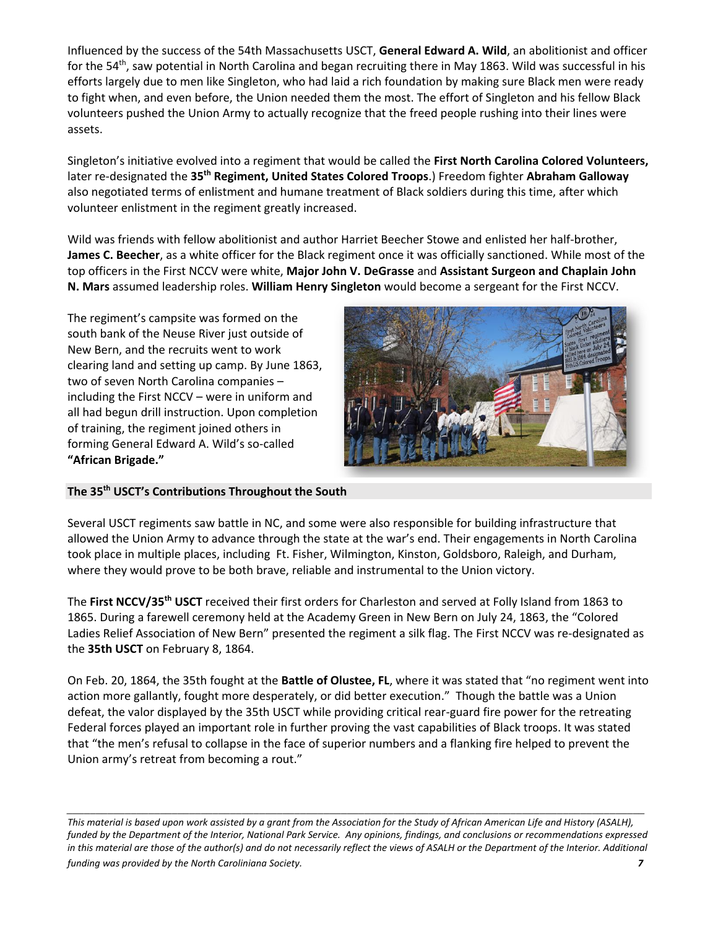Influenced by the success of the 54th Massachusetts USCT, **General Edward A. Wild**, an abolitionist and officer for the 54<sup>th</sup>, saw potential in North Carolina and began recruiting there in May 1863. Wild was successful in his efforts largely due to men like Singleton, who had laid a rich foundation by making sure Black men were ready to fight when, and even before, the Union needed them the most. The effort of Singleton and his fellow Black volunteers pushed the Union Army to actually recognize that the freed people rushing into their lines were assets.

Singleton's initiative evolved into a regiment that would be called the **First North Carolina Colored Volunteers,**  later re-designated the **35th Regiment, United States Colored Troops**.) Freedom fighter **Abraham Galloway** also negotiated terms of enlistment and humane treatment of Black soldiers during this time, after which volunteer enlistment in the regiment greatly increased.

Wild was friends with fellow abolitionist and author Harriet Beecher Stowe and enlisted her half-brother, **James C. Beecher**, as a white officer for the Black regiment once it was officially sanctioned. While most of the top officers in the First NCCV were white, **Major John V. DeGrasse** and **Assistant Surgeon and Chaplain John N. Mars** assumed leadership roles. **William Henry Singleton** would become a sergeant for the First NCCV.

The regiment's campsite was formed on the south bank of the Neuse River just outside of New Bern, and the recruits went to work clearing land and setting up camp. By June 1863, two of seven North Carolina companies – including the First NCCV – were in uniform and all had begun drill instruction. Upon completion of training, the regiment joined others in forming General Edward A. Wild's so-called **"African Brigade."** 



#### **The 35th USCT's Contributions Throughout the South**

Several USCT regiments saw battle in NC, and some were also responsible for building infrastructure that allowed the Union Army to advance through the state at the war's end. Their engagements in North Carolina took place in multiple places, including Ft. Fisher, Wilmington, Kinston, Goldsboro, Raleigh, and Durham, where they would prove to be both brave, reliable and instrumental to the Union victory.

The **First NCCV/35th USCT** received their first orders for Charleston and served at Folly Island from 1863 to 1865. During a farewell ceremony held at the Academy Green in New Bern on July 24, 1863, the "Colored Ladies Relief Association of New Bern" presented the regiment a silk flag. The First NCCV was re-designated as the **35th USCT** on February 8, 1864.

On Feb. 20, 1864, the 35th fought at the **Battle of Olustee, FL**, where it was stated that "no regiment went into action more gallantly, fought more desperately, or did better execution." Though the battle was a Union defeat, the valor displayed by the 35th USCT while providing critical rear-guard fire power for the retreating Federal forces played an important role in further proving the vast capabilities of Black troops. It was stated that "the men's refusal to collapse in the face of superior numbers and a flanking fire helped to prevent the Union army's retreat from becoming a rout."

*\_\_\_\_\_\_\_\_\_\_\_\_\_\_\_\_\_\_\_\_\_\_\_\_\_\_\_\_\_\_\_\_\_\_\_\_\_\_\_\_\_\_\_\_\_\_\_\_\_\_\_\_\_\_\_\_\_\_\_\_\_\_\_\_\_\_\_\_\_\_\_\_\_\_\_\_\_\_\_\_\_\_\_\_\_\_\_\_\_\_\_\_\_\_\_\_\_\_\_ This material is based upon work assisted by a grant from the Association for the Study of African American Life and History (ASALH), funded by the Department of the Interior, National Park Service. Any opinions, findings, and conclusions or recommendations expressed in this material are those of the author(s) and do not necessarily reflect the views of ASALH or the Department of the Interior. Additional funding was provided by the North Caroliniana Society. 7*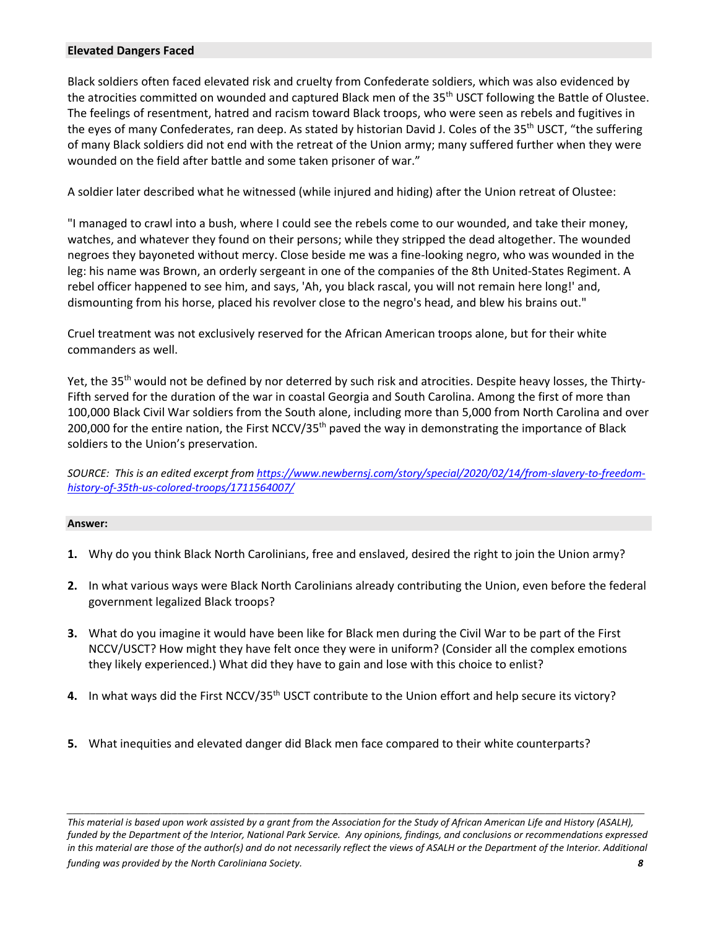#### **Elevated Dangers Faced**

Black soldiers often faced elevated risk and cruelty from Confederate soldiers, which was also evidenced by the atrocities committed on wounded and captured Black men of the 35<sup>th</sup> USCT following the Battle of Olustee. The feelings of resentment, hatred and racism toward Black troops, who were seen as rebels and fugitives in the eyes of many Confederates, ran deep. As stated by historian David J. Coles of the 35<sup>th</sup> USCT, "the suffering of many Black soldiers did not end with the retreat of the Union army; many suffered further when they were wounded on the field after battle and some taken prisoner of war."

A soldier later described what he witnessed (while injured and hiding) after the Union retreat of Olustee:

"I managed to crawl into a bush, where I could see the rebels come to our wounded, and take their money, watches, and whatever they found on their persons; while they stripped the dead altogether. The wounded negroes they bayoneted without mercy. Close beside me was a fine-looking negro, who was wounded in the leg: his name was Brown, an orderly sergeant in one of the companies of the 8th United-States Regiment. A rebel officer happened to see him, and says, 'Ah, you black rascal, you will not remain here long!' and, dismounting from his horse, placed his revolver close to the negro's head, and blew his brains out."

Cruel treatment was not exclusively reserved for the African American troops alone, but for their white commanders as well.

Yet, the 35<sup>th</sup> would not be defined by nor deterred by such risk and atrocities. Despite heavy losses, the Thirty-Fifth served for the duration of the war in coastal Georgia and South Carolina. Among the first of more than 100,000 Black Civil War soldiers from the South alone, including more than 5,000 from North Carolina and over 200,000 for the entire nation, the First NCCV/35<sup>th</sup> paved the way in demonstrating the importance of Black soldiers to the Union's preservation.

*SOURCE: This is an edited excerpt from [https://www.newbernsj.com/story/special/2020/02/14/from-slavery-to-freedom](https://www.newbernsj.com/story/special/2020/02/14/from-slavery-to-freedom-history-of-35th-us-colored-troops/1711564007/)[history-of-35th-us-colored-troops/1711564007/](https://www.newbernsj.com/story/special/2020/02/14/from-slavery-to-freedom-history-of-35th-us-colored-troops/1711564007/)*

#### **Answer:**

- **1.** Why do you think Black North Carolinians, free and enslaved, desired the right to join the Union army?
- **2.** In what various ways were Black North Carolinians already contributing the Union, even before the federal government legalized Black troops?
- **3.** What do you imagine it would have been like for Black men during the Civil War to be part of the First NCCV/USCT? How might they have felt once they were in uniform? (Consider all the complex emotions they likely experienced.) What did they have to gain and lose with this choice to enlist?
- **4.** In what ways did the First NCCV/35<sup>th</sup> USCT contribute to the Union effort and help secure its victory?
- **5.** What inequities and elevated danger did Black men face compared to their white counterparts?

*This material is based upon work assisted by a grant from the Association for the Study of African American Life and History (ASALH), funded by the Department of the Interior, National Park Service. Any opinions, findings, and conclusions or recommendations expressed in this material are those of the author(s) and do not necessarily reflect the views of ASALH or the Department of the Interior. Additional funding was provided by the North Caroliniana Society. 8*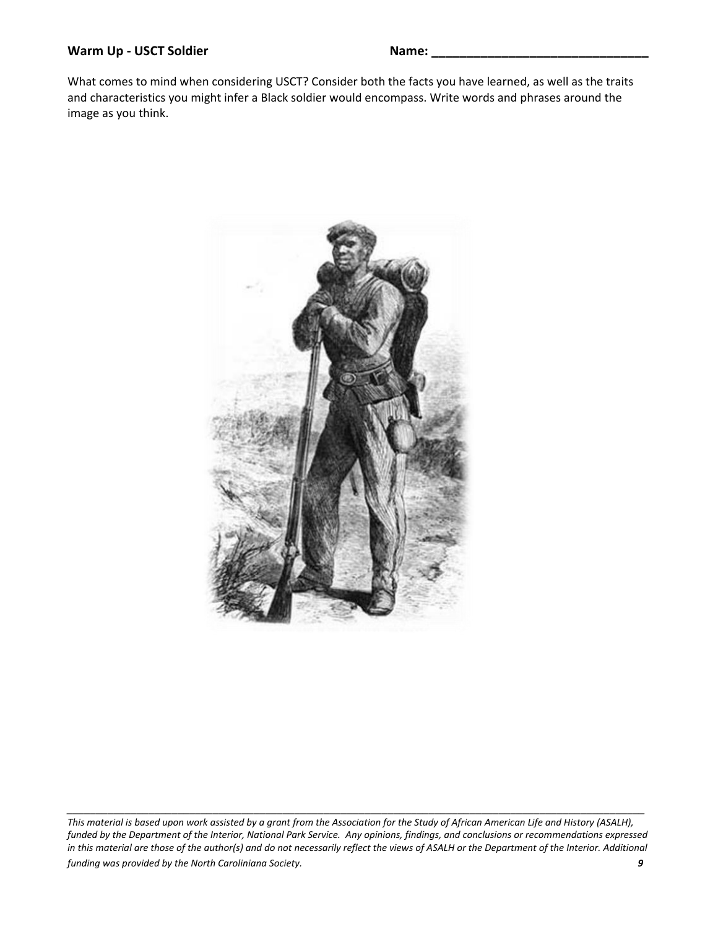## Warm Up - USCT Soldier Name:

What comes to mind when considering USCT? Consider both the facts you have learned, as well as the traits and characteristics you might infer a Black soldier would encompass. Write words and phrases around the image as you think.



*This material is based upon work assisted by a grant from the Association for the Study of African American Life and History (ASALH), funded by the Department of the Interior, National Park Service. Any opinions, findings, and conclusions or recommendations expressed in this material are those of the author(s) and do not necessarily reflect the views of ASALH or the Department of the Interior. Additional funding was provided by the North Caroliniana Society. 9*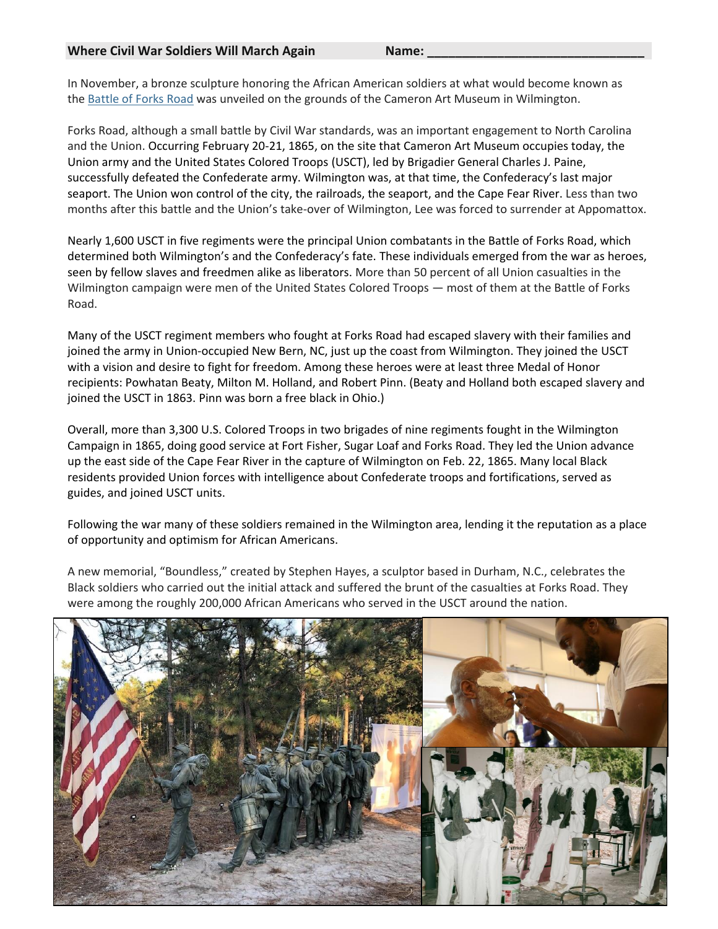In November, a bronze sculpture honoring the African American soldiers at what would become known as the [Battle of Forks Road](https://northcarolinahistory.org/encyclopedia/battle-of-forks-road/) was unveiled on the grounds of the Cameron Art Museum in Wilmington.

Forks Road, although a small battle by Civil War standards, was an important engagement to North Carolina and the Union. Occurring February 20-21, 1865, on the site that Cameron Art Museum occupies today, the Union army and the United States Colored Troops (USCT), led by Brigadier General Charles J. Paine, successfully defeated the Confederate army. Wilmington was, at that time, the Confederacy's last major seaport. The Union won control of the city, the railroads, the seaport, and the Cape Fear River. Less than two months after this battle and the Union's take-over of Wilmington, Lee was forced to surrender at Appomattox.

Nearly 1,600 USCT in five regiments were the principal Union combatants in the Battle of Forks Road, which determined both Wilmington's and the Confederacy's fate. These individuals emerged from the war as heroes, seen by fellow slaves and freedmen alike as liberators. More than 50 percent of all Union casualties in the Wilmington campaign were men of the United States Colored Troops — most of them at the Battle of Forks Road.

Many of the USCT regiment members who fought at Forks Road had escaped slavery with their families and joined the army in Union-occupied New Bern, NC, just up the coast from Wilmington. They joined the USCT with a vision and desire to fight for freedom. Among these heroes were at least three Medal of Honor recipients: Powhatan Beaty, Milton M. Holland, and Robert Pinn. (Beaty and Holland both escaped slavery and joined the USCT in 1863. Pinn was born a free black in Ohio.)

Overall, more than 3,300 U.S. Colored Troops in two brigades of nine regiments fought in the Wilmington Campaign in 1865, doing good service at Fort Fisher, Sugar Loaf and Forks Road. They led the Union advance up the east side of the Cape Fear River in the capture of Wilmington on Feb. 22, 1865. Many local Black residents provided Union forces with intelligence about Confederate troops and fortifications, served as guides, and joined USCT units.

Following the war many of these soldiers remained in the Wilmington area, lending it the reputation as a place of opportunity and optimism for African Americans.

A new memorial, "Boundless," created by Stephen Hayes, a sculptor based in Durham, N.C., celebrates the Black soldiers who carried out the initial attack and suffered the brunt of the casualties at Forks Road. They were among the roughly 200,000 African Americans who served in the USCT around the nation.

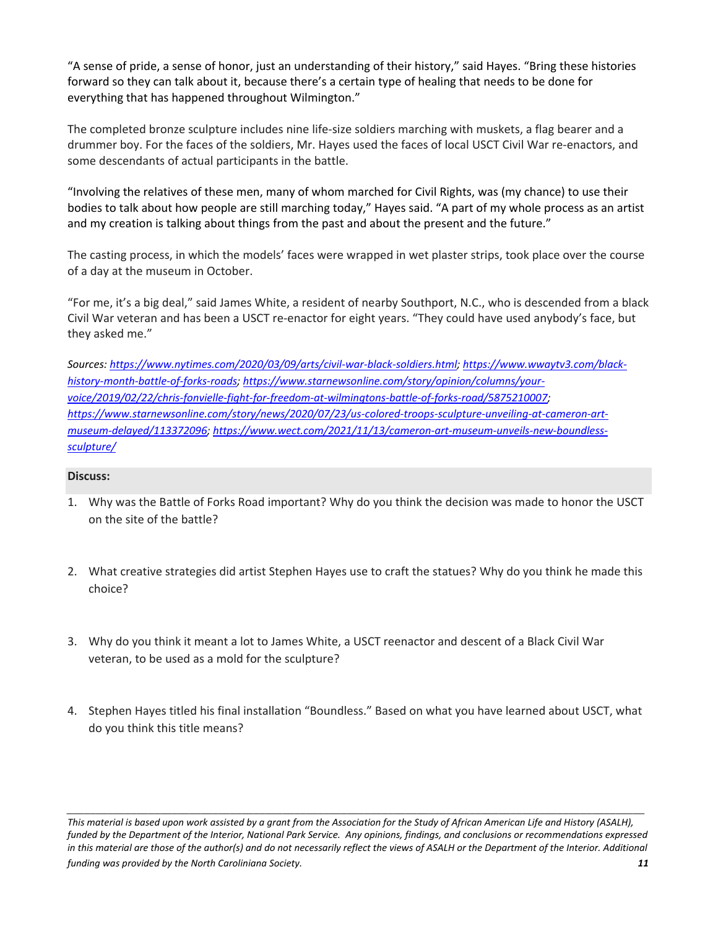"A sense of pride, a sense of honor, just an understanding of their history," said Hayes. "Bring these histories forward so they can talk about it, because there's a certain type of healing that needs to be done for everything that has happened throughout Wilmington."

The completed bronze sculpture includes nine life-size soldiers marching with muskets, a flag bearer and a drummer boy. For the faces of the soldiers, Mr. Hayes used the faces of local USCT Civil War re-enactors, and some descendants of actual participants in the battle.

"Involving the relatives of these men, many of whom marched for Civil Rights, was (my chance) to use their bodies to talk about how people are still marching today," Hayes said. "A part of my whole process as an artist and my creation is talking about things from the past and about the present and the future."

The casting process, in which the models' faces were wrapped in wet plaster strips, took place over the course of a day at the museum in October.

"For me, it's a big deal," said James White, a resident of nearby Southport, N.C., who is descended from a black Civil War veteran and has been a USCT re-enactor for eight years. "They could have used anybody's face, but they asked me."

*Sources[: https://www.nytimes.com/2020/03/09/arts/civil-war-black-soldiers.html;](https://www.nytimes.com/2020/03/09/arts/civil-war-black-soldiers.html) [https://www.wwaytv3.com/black](https://www.wwaytv3.com/black-history-month-battle-of-forks-roads)[history-month-battle-of-forks-roads;](https://www.wwaytv3.com/black-history-month-battle-of-forks-roads) [https://www.starnewsonline.com/story/opinion/columns/your](https://www.starnewsonline.com/story/opinion/columns/your-voice/2019/02/22/chris-fonvielle-fight-for-freedom-at-wilmingtons-battle-of-forks-road/5875210007)[voice/2019/02/22/chris-fonvielle-fight-for-freedom-at-wilmingtons-battle-of-forks-road/5875210007;](https://www.starnewsonline.com/story/opinion/columns/your-voice/2019/02/22/chris-fonvielle-fight-for-freedom-at-wilmingtons-battle-of-forks-road/5875210007) [https://www.starnewsonline.com/story/news/2020/07/23/us-colored-troops-sculpture-unveiling-at-cameron-art](https://www.starnewsonline.com/story/news/2020/07/23/us-colored-troops-sculpture-unveiling-at-cameron-art-museum-delayed/113372096)[museum-delayed/113372096;](https://www.starnewsonline.com/story/news/2020/07/23/us-colored-troops-sculpture-unveiling-at-cameron-art-museum-delayed/113372096) [https://www.wect.com/2021/11/13/cameron-art-museum-unveils-new-boundless](https://www.wect.com/2021/11/13/cameron-art-museum-unveils-new-boundless-sculpture/)[sculpture/](https://www.wect.com/2021/11/13/cameron-art-museum-unveils-new-boundless-sculpture/)*

#### **Discuss:**

- 1. Why was the Battle of Forks Road important? Why do you think the decision was made to honor the USCT on the site of the battle?
- 2. What creative strategies did artist Stephen Hayes use to craft the statues? Why do you think he made this choice?
- 3. Why do you think it meant a lot to James White, a USCT reenactor and descent of a Black Civil War veteran, to be used as a mold for the sculpture?
- 4. Stephen Hayes titled his final installation "Boundless." Based on what you have learned about USCT, what do you think this title means?

*This material is based upon work assisted by a grant from the Association for the Study of African American Life and History (ASALH), funded by the Department of the Interior, National Park Service. Any opinions, findings, and conclusions or recommendations expressed in this material are those of the author(s) and do not necessarily reflect the views of ASALH or the Department of the Interior. Additional funding was provided by the North Caroliniana Society. 11*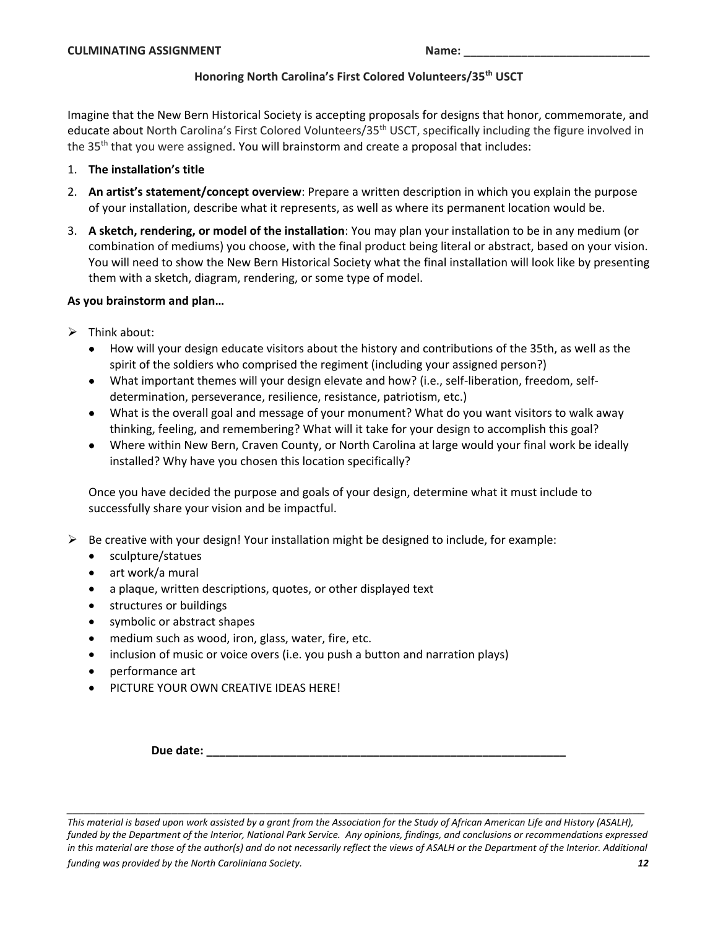## **Honoring North Carolina's First Colored Volunteers/35th USCT**

Imagine that the New Bern Historical Society is accepting proposals for designs that honor, commemorate, and educate about North Carolina's First Colored Volunteers/35<sup>th</sup> USCT, specifically including the figure involved in the 35<sup>th</sup> that you were assigned. You will brainstorm and create a proposal that includes:

## 1. **The installation's title**

- 2. **An artist's statement/concept overview**: Prepare a written description in which you explain the purpose of your installation, describe what it represents, as well as where its permanent location would be.
- 3. **A sketch, rendering, or model of the installation**: You may plan your installation to be in any medium (or combination of mediums) you choose, with the final product being literal or abstract, based on your vision. You will need to show the New Bern Historical Society what the final installation will look like by presenting them with a sketch, diagram, rendering, or some type of model.

## **As you brainstorm and plan…**

- $\triangleright$  Think about:
	- How will your design educate visitors about the history and contributions of the 35th, as well as the spirit of the soldiers who comprised the regiment (including your assigned person?)
	- What important themes will your design elevate and how? (i.e., self-liberation, freedom, selfdetermination, perseverance, resilience, resistance, patriotism, etc.)
	- What is the overall goal and message of your monument? What do you want visitors to walk away thinking, feeling, and remembering? What will it take for your design to accomplish this goal?
	- Where within New Bern, Craven County, or North Carolina at large would your final work be ideally installed? Why have you chosen this location specifically?

Once you have decided the purpose and goals of your design, determine what it must include to successfully share your vision and be impactful.

- $\triangleright$  Be creative with your design! Your installation might be designed to include, for example:
	- sculpture/statues
	- art work/a mural
	- a plaque, written descriptions, quotes, or other displayed text
	- structures or buildings
	- symbolic or abstract shapes
	- medium such as wood, iron, glass, water, fire, etc.
	- inclusion of music or voice overs (i.e. you push a button and narration plays)
	- performance art
	- PICTURE YOUR OWN CREATIVE IDEAS HERE!

**Due date: \_\_\_\_\_\_\_\_\_\_\_\_\_\_\_\_\_\_\_\_\_\_\_\_\_\_\_\_\_\_\_\_\_\_\_\_\_\_\_\_\_\_\_\_\_\_\_\_\_\_\_\_\_\_\_\_**

*This material is based upon work assisted by a grant from the Association for the Study of African American Life and History (ASALH), funded by the Department of the Interior, National Park Service. Any opinions, findings, and conclusions or recommendations expressed in this material are those of the author(s) and do not necessarily reflect the views of ASALH or the Department of the Interior. Additional funding was provided by the North Caroliniana Society. 12*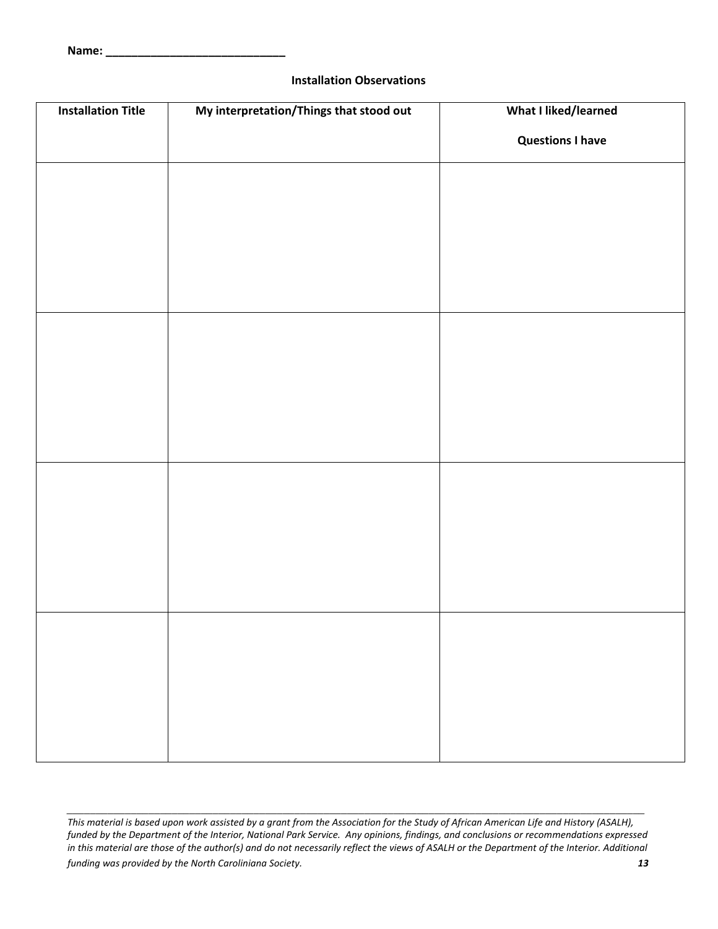#### **Installation Observations**

| <b>Installation Title</b> | My interpretation/Things that stood out | What I liked/learned    |
|---------------------------|-----------------------------------------|-------------------------|
|                           |                                         | <b>Questions I have</b> |
|                           |                                         |                         |
|                           |                                         |                         |
|                           |                                         |                         |
|                           |                                         |                         |
|                           |                                         |                         |
|                           |                                         |                         |
|                           |                                         |                         |
|                           |                                         |                         |
|                           |                                         |                         |
|                           |                                         |                         |
|                           |                                         |                         |
|                           |                                         |                         |
|                           |                                         |                         |
|                           |                                         |                         |
|                           |                                         |                         |
|                           |                                         |                         |
|                           |                                         |                         |
|                           |                                         |                         |

*This material is based upon work assisted by a grant from the Association for the Study of African American Life and History (ASALH), funded by the Department of the Interior, National Park Service. Any opinions, findings, and conclusions or recommendations expressed in this material are those of the author(s) and do not necessarily reflect the views of ASALH or the Department of the Interior. Additional funding was provided by the North Caroliniana Society. 13*